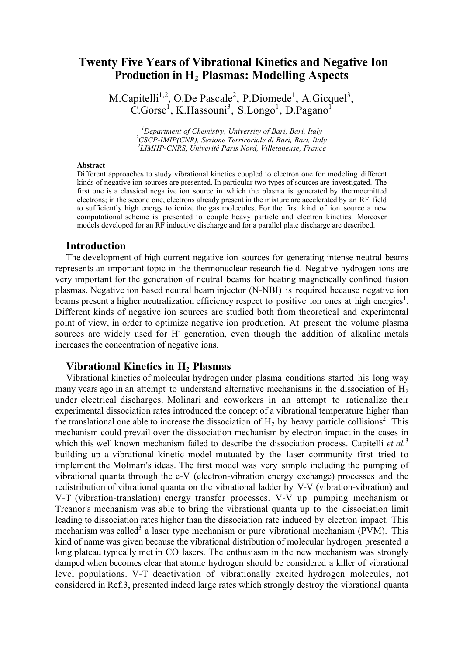# Twenty Five Years of Vibrational Kinetics and Negative Ion Production in H<sub>2</sub> Plasmas: Modelling Aspects

M.Capitelli<sup>1,2</sup>, O.De Pascale<sup>2</sup>, P.Diomede<sup>1</sup>, A.Gicquel<sup>3</sup>,  $\text{C.Gorse}^1$ , K.Hassouni<sup>3</sup>, S.Longo<sup>1</sup>, D.Pagano<sup>1</sup>

> <sup>1</sup> Department of Chemistry, University of Bari, Bari, Italy<br><sup>2</sup> CSCD *MUD*(CMD), Serious Trunipaties di Bari, Bari, Italy *CSCP-IMIP(CNR), Sezione Terriroriale di Bari, Bari, Italy <sup>3</sup> LIMHP-CNRS, Univerité Paris Nord, Villetaneuse, France*

#### Abstract

Different approaches to study vibrational kinetics coupled to electron one for modeling different kinds of negative ion sources are presented. In particular two types of sources are investigated. The first one is a classical negative ion source in which the plasma is generated by thermoemitted electrons; in the second one, electrons already present in the mixture are accelerated by an RF field to sufficiently high energy to ionize the gas molecules. For the first kind of ion source a new computational scheme is presented to couple heavy particle and electron kinetics. Moreover models developed for an RF inductive discharge and for a parallel plate discharge are described.

### Introduction

The development of high current negative ion sources for generating intense neutral beams represents an important topic in the thermonuclear research field. Negative hydrogen ions are very important for the generation of neutral beams for heating magnetically confined fusion plasmas. Negative ion based neutral beam injector (N-NBI) is required because negative ion beams present a higher neutralization efficiency respect to positive ion ones at high energies<sup>1</sup>. Different kinds of negative ion sources are studied both from theoretical and experimental point of view, in order to optimize negative ion production. At present the volume plasma sources are widely used for H- generation, even though the addition of alkaline metals increases the concentration of negative ions.

# Vibrational Kinetics in  $H_2$  Plasmas

Vibrational kinetics of molecular hydrogen under plasma conditions started his long way many years ago in an attempt to understand alternative mechanisms in the dissociation of  $H_2$ under electrical discharges. Molinari and coworkers in an attempt to rationalize their experimental dissociation rates introduced the concept of a vibrational temperature higher than the translational one able to increase the dissociation of  $H_2$  by heavy particle collisions<sup>2</sup>. This mechanism could prevail over the dissociation mechanism by electron impact in the cases in which this well known mechanism failed to describe the dissociation process. Capitelli *et al.*<sup>3</sup> building up a vibrational kinetic model mutuated by the laser community first tried to implement the Molinari's ideas. The first model was very simple including the pumping of vibrational quanta through the e-V (electron-vibration energy exchange) processes and the redistribution of vibrational quanta on the vibrational ladder by V-V (vibration-vibration) and V-T (vibration-translation) energy transfer processes. V-V up pumping mechanism or Treanor's mechanism was able to bring the vibrational quanta up to the dissociation limit leading to dissociation rates higher than the dissociation rate induced by electron impact. This mechanism was called<sup>3</sup> a laser type mechanism or pure vibrational mechanism (PVM). This kind of name was given because the vibrational distribution of molecular hydrogen presented a long plateau typically met in CO lasers. The enthusiasm in the new mechanism was strongly damped when becomes clear that atomic hydrogen should be considered a killer of vibrational level populations. V-T deactivation of vibrationally excited hydrogen molecules, not considered in Ref.3, presented indeed large rates which strongly destroy the vibrational quanta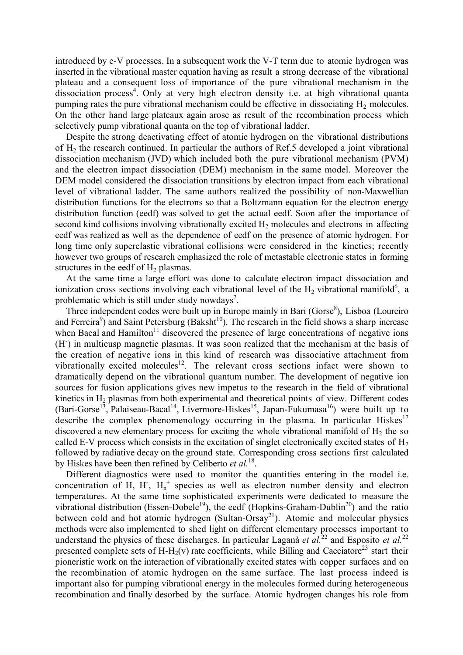introduced by e-V processes. In a subsequent work the V-T term due to atomic hydrogen was inserted in the vibrational master equation having as result a strong decrease of the vibrational plateau and a consequent loss of importance of the pure vibrational mechanism in the dissociation process<sup>4</sup>. Only at very high electron density i.e. at high vibrational quanta pumping rates the pure vibrational mechanism could be effective in dissociating  $H_2$  molecules. On the other hand large plateaux again arose as result of the recombination process which selectively pump vibrational quanta on the top of vibrational ladder.

Despite the strong deactivating effect of atomic hydrogen on the vibrational distributions of H2 the research continued. In particular the authors of Ref.5 developed a joint vibrational dissociation mechanism (JVD) which included both the pure vibrational mechanism (PVM) and the electron impact dissociation (DEM) mechanism in the same model. Moreover the DEM model considered the dissociation transitions by electron impact from each vibrational level of vibrational ladder. The same authors realized the possibility of non-Maxwellian distribution functions for the electrons so that a Boltzmann equation for the electron energy distribution function (eedf) was solved to get the actual eedf. Soon after the importance of second kind collisions involving vibrationally excited  $H_2$  molecules and electrons in affecting eedf was realized as well as the dependence of eedf on the presence of atomic hydrogen. For long time only superelastic vibrational collisions were considered in the kinetics; recently however two groups of research emphasized the role of metastable electronic states in forming structures in the eedf of  $H<sub>2</sub>$  plasmas.

At the same time a large effort was done to calculate electron impact dissociation and ionization cross sections involving each vibrational level of the  $H_2$  vibrational manifold<sup>6</sup>, a problematic which is still under study nowdays<sup>7</sup>.

Three independent codes were built up in Europe mainly in Bari (Gorse<sup>8</sup>), Lisboa (Loureiro and Ferreira<sup>9</sup>) and Saint Petersburg (Baksht<sup>10</sup>). The research in the field shows a sharp increase when Bacal and Hamilton<sup>11</sup> discovered the presence of large concentrations of negative ions (H- ) in multicusp magnetic plasmas. It was soon realized that the mechanism at the basis of the creation of negative ions in this kind of research was dissociative attachment from vibrationally excited molecules<sup>12</sup>. The relevant cross sections infact were shown to dramatically depend on the vibrational quantum number. The development of negative ion sources for fusion applications gives new impetus to the research in the field of vibrational kinetics in  $H_2$  plasmas from both experimental and theoretical points of view. Different codes (Bari-Gorse<sup>13</sup>, Palaiseau-Bacal<sup>14</sup>, Livermore-Hiskes<sup>15</sup>, Japan-Fukumasa<sup>16</sup>) were built up to describe the complex phenomenology occurring in the plasma. In particular Hiskes<sup>17</sup> discovered a new elementary process for exciting the whole vibrational manifold of  $H_2$  the so called E-V process which consists in the excitation of singlet electronically excited states of  $H_2$ followed by radiative decay on the ground state. Corresponding cross sections first calculated by Hiskes have been then refined by Celiberto *et al.*18.

Different diagnostics were used to monitor the quantities entering in the model i.e. concentration of H, H,  $H_n^+$  species as well as electron number density and electron temperatures. At the same time sophisticated experiments were dedicated to measure the vibrational distribution (Essen-Dobele<sup>19</sup>), the eedf (Hopkins-Graham-Dublin<sup>20</sup>) and the ratio between cold and hot atomic hydrogen (Sultan-Orsay<sup>21</sup>). Atomic and molecular physics methods were also implemented to shed light on different elementary processes important to understand the physics of these discharges. In particular Laganà *et al.*<sup>22</sup> and Esposito *et al.*<sup>22</sup> presented complete sets of H-H<sub>2</sub>(v) rate coefficients, while Billing and Cacciatore<sup>23</sup> start their pioneristic work on the interaction of vibrationally excited states with copper surfaces and on the recombination of atomic hydrogen on the same surface. The last process indeed is important also for pumping vibrational energy in the molecules formed during heterogeneous recombination and finally desorbed by the surface. Atomic hydrogen changes his role from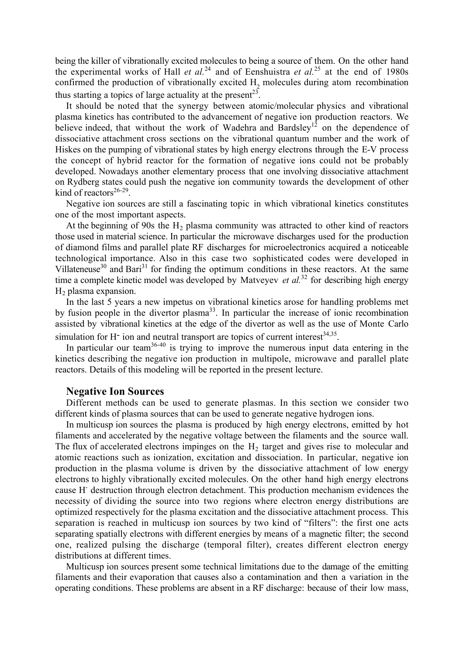being the killer of vibrationally excited molecules to being a source of them. On the other hand the experimental works of Hall *et al.*<sup>24</sup> and of Eenshuistra *et al.*<sup>25</sup> at the end of 1980s confirmed the production of vibrationally excited  $H<sub>2</sub>$  molecules during atom recombination thus starting a topics of large actuality at the present<sup>23</sup>.

It should be noted that the synergy between atomic/molecular physics and vibrational plasma kinetics has contributed to the advancement of negative ion production reactors. We believe indeed, that without the work of Wadehra and Bardsley<sup>12</sup> on the dependence of dissociative attachment cross sections on the vibrational quantum number and the work of Hiskes on the pumping of vibrational states by high energy electrons through the E-V process the concept of hybrid reactor for the formation of negative ions could not be probably developed. Nowadays another elementary process that one involving dissociative attachment on Rydberg states could push the negative ion community towards the development of other kind of reactors $26-29$ .

Negative ion sources are still a fascinating topic in which vibrational kinetics constitutes one of the most important aspects.

At the beginning of 90s the  $H<sub>2</sub>$  plasma community was attracted to other kind of reactors those used in material science. In particular the microwave discharges used for the production of diamond films and parallel plate RF discharges for microelectronics acquired a noticeable technological importance. Also in this case two sophisticated codes were developed in Villateneuse<sup>30</sup> and Bari<sup>31</sup> for finding the optimum conditions in these reactors. At the same time a complete kinetic model was developed by Matveyev *et al.*<sup>32</sup> for describing high energy  $H<sub>2</sub>$  plasma expansion.

In the last 5 years a new impetus on vibrational kinetics arose for handling problems met by fusion people in the divertor plasma<sup>33</sup>. In particular the increase of ionic recombination assisted by vibrational kinetics at the edge of the divertor as well as the use of Monte Carlo simulation for H<sup>-</sup> ion and neutral transport are topics of current interest<sup>34,35</sup>.

In particular our team<sup>36-40</sup> is trying to improve the numerous input data entering in the kinetics describing the negative ion production in multipole, microwave and parallel plate reactors. Details of this modeling will be reported in the present lecture.

#### Negative Ion Sources

Different methods can be used to generate plasmas. In this section we consider two different kinds of plasma sources that can be used to generate negative hydrogen ions.

In multicusp ion sources the plasma is produced by high energy electrons, emitted by hot filaments and accelerated by the negative voltage between the filaments and the source wall. The flux of accelerated electrons impinges on the  $H<sub>2</sub>$  target and gives rise to molecular and atomic reactions such as ionization, excitation and dissociation. In particular, negative ion production in the plasma volume is driven by the dissociative attachment of low energy electrons to highly vibrationally excited molecules. On the other hand high energy electrons cause H- destruction through electron detachment. This production mechanism evidences the necessity of dividing the source into two regions where electron energy distributions are optimized respectively for the plasma excitation and the dissociative attachment process. This separation is reached in multicusp ion sources by two kind of "filters": the first one acts separating spatially electrons with different energies by means of a magnetic filter; the second one, realized pulsing the discharge (temporal filter), creates different electron energy distributions at different times.

Multicusp ion sources present some technical limitations due to the damage of the emitting filaments and their evaporation that causes also a contamination and then a variation in the operating conditions. These problems are absent in a RF discharge: because of their low mass,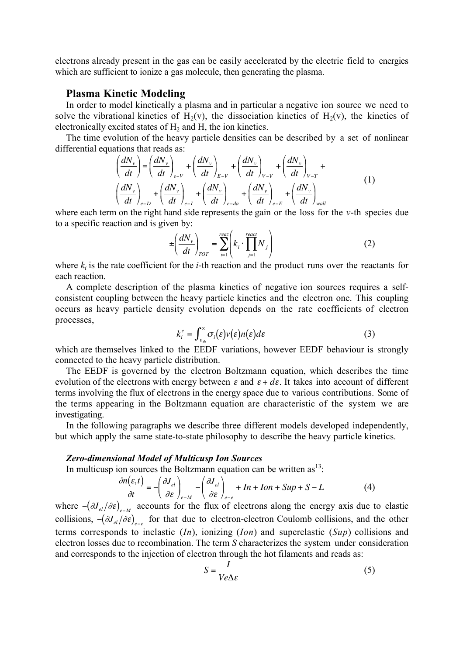electrons already present in the gas can be easily accelerated by the electric field to energies which are sufficient to ionize a gas molecule, then generating the plasma.

# Plasma Kinetic Modeling

In order to model kinetically a plasma and in particular a negative ion source we need to solve the vibrational kinetics of  $H_2(v)$ , the dissociation kinetics of  $H_2(v)$ , the kinetics of electronically excited states of  $H_2$  and  $H$ , the ion kinetics.

The time evolution of the heavy particle densities can be described by a set of nonlinear differential equations that reads as:

$$
\left(\frac{dN_{v}}{dt}\right) = \left(\frac{dN_{v}}{dt}\right)_{e-V} + \left(\frac{dN_{v}}{dt}\right)_{E-V} + \left(\frac{dN_{v}}{dt}\right)_{V-V} + \left(\frac{dN_{v}}{dt}\right)_{V-T} + \left(\frac{dN_{v}}{dt}\right)_{e-U} + \left(\frac{dN_{v}}{dt}\right)_{e-da} + \left(\frac{dN_{v}}{dt}\right)_{e-E} + \left(\frac{dN_{v}}{dt}\right)_{wall}
$$
\n(1)

where each term on the right hand side represents the gain or the loss for the *v*-th species due to a specific reaction and is given by:

$$
\pm \left(\frac{dN_v}{dt}\right)_{TOT} = \sum_{i=1}^{reaz} \left(k_i \cdot \prod_{j=1}^{react} N_j\right) \tag{2}
$$

where  $k_i$  is the rate coefficient for the *i*-th reaction and the product runs over the reactants for each reaction.

consistent coupling between the heavy particle kinetics and the electron one. This coupling A complete description of the plasma kinetics of negative ion sources requires a selfoccurs as heavy particle density evolution depends on the rate coefficients of electron processes,

$$
k_i^e = \int_{\varepsilon_{th}}^{\infty} \sigma_i(\varepsilon) \nu(\varepsilon) n(\varepsilon) d\varepsilon \tag{3}
$$

which are themselves linked to the EEDF variations, however EEDF behaviour is strongly connected to the heavy particle distribution.

evolution of the electrons with energy between  $\varepsilon$  and  $\varepsilon + d\varepsilon$ . It takes into account of different The EEDF is governed by the electron Boltzmann equation, which describes the time terms involving the flux of electrons in the energy space due to various contributions. Some of the terms appearing in the Boltzmann equation are characteristic of the system we are investigating.

€ € In the following paragraphs we describe three different models developed independently, but which apply the same state-to-state philosophy to describe the heavy particle kinetics.

#### *Zero-dimensional Model of Multicusp Ion Sources*

In multicusp ion sources the Boltzmann equation can be written  $as<sup>13</sup>$ .

$$
\frac{\partial n(\varepsilon,t)}{\partial t} = -\left(\frac{\partial J_{el}}{\partial \varepsilon}\right)_{e-M} - \left(\frac{\partial J_{el}}{\partial \varepsilon}\right)_{e-e} + In + Ion + Sup + S - L \tag{4}
$$

€ terms corresponds to inelastic (*In*), ionizing (*Ion*) and superelastic (*Sup*) collisions and where  $-$ ( $\partial J_{el}/\partial \varepsilon$ )<sub>e−*M*</sub> accounts for the flux of electrons along the energy axis due to elastic  $\frac{1}{10}$ collisions,  $- (\partial J_{el}/\partial \varepsilon)_{e-e}$  for that due to electron-electron Coulomb collisions, and the other electron losses due to recombination. The term *S* characterizes the system under consideration and corresponds to the injection of electron through the hot filaments and reads as:

$$
S = \frac{I}{Ve\Delta\varepsilon} \tag{5}
$$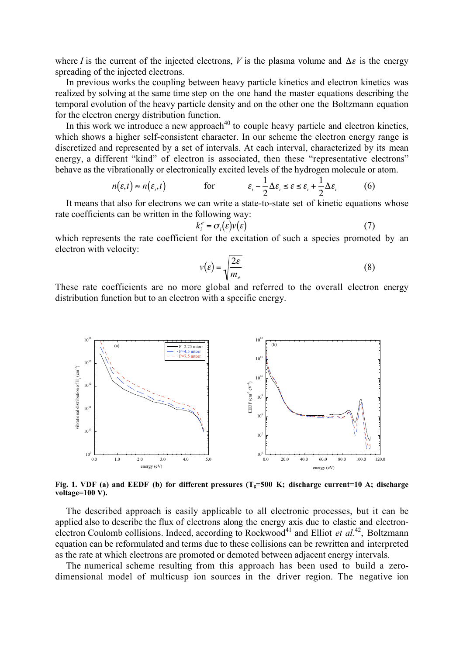where *I* is the current of the injected electrons, *V* is the plasma volume and  $\Delta \varepsilon$  is the energy spreading of the injected electrons.

temporal evolution of the heavy particle density and on the other one the Boltzmann equation In previous works the coupling between heavy particle kinetics and electron kinetics was realized by solving at the same time step on the one hand the master equations describing the for the electron energy distribution function.

In this work we introduce a new approach<sup>40</sup> to couple heavy particle and electron kinetics, which shows a higher self-consistent character. In our scheme the electron energy range is discretized and represented by a set of intervals. At each interval, characterized by its mean energy, a different "kind" of electron is associated, then these "representative electrons" behave as the vibrationally or electronically excited levels of the hydrogen molecule or atom.

$$
n(\varepsilon, t) \approx n(\varepsilon_i, t) \qquad \text{for} \qquad \varepsilon_i - \frac{1}{2} \Delta \varepsilon_i \le \varepsilon \le \varepsilon_i + \frac{1}{2} \Delta \varepsilon_i \qquad (6)
$$

It means that also for electrons we can write a state-to-state set of kinetic equations whose rate coefficients can be written in the following way:

$$
k_i^e = \sigma_i(\varepsilon)v(\varepsilon) \tag{7}
$$

which represents the rate coefficient for the excitation of such a species promoted by an electron with velocity:

$$
v(\varepsilon) = \sqrt{\frac{2\varepsilon}{m_e}}
$$
 (8)

These rate coefficients are no more global and referred to the overall electron energy distribution function but to an electron with a specific energy.



Fig. 1. VDF (a) and EEDF (b) for different pressures  $(T<sub>e</sub>=500 K;$  discharge current=10 A; discharge voltage=100 V).

The described approach is easily applicable to all electronic processes, but it can be applied also to describe the flux of electrons along the energy axis due to elastic and electronelectron Coulomb collisions. Indeed, according to Rockwood<sup>41</sup> and Elliot *et al.*<sup>42</sup>, Boltzmann equation can be reformulated and terms due to these collisions can be rewritten and interpreted as the rate at which electrons are promoted or demoted between adjacent energy intervals.

The numerical scheme resulting from this approach has been used to build a zerodimensional model of multicusp ion sources in the driver region. The negative ion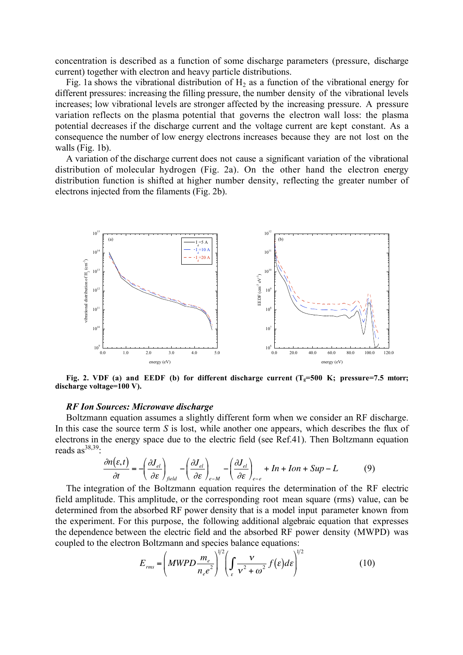concentration is described as a function of some discharge parameters (pressure, discharge current) together with electron and heavy particle distributions.

Fig. 1a shows the vibrational distribution of  $H_2$  as a function of the vibrational energy for different pressures: increasing the filling pressure, the number density of the vibrational levels increases; low vibrational levels are stronger affected by the increasing pressure. A pressure variation reflects on the plasma potential that governs the electron wall loss: the plasma potential decreases if the discharge current and the voltage current are kept constant. As a consequence the number of low energy electrons increases because they are not lost on the walls (Fig. 1b).

A variation of the discharge current does not cause a significant variation of the vibrational distribution of molecular hydrogen (Fig. 2a). On the other hand the electron energy distribution function is shifted at higher number density, reflecting the greater number of electrons injected from the filaments (Fig. 2b).



Fig. 2. VDF (a) and EEDF (b) for different discharge current  $(T<sub>e</sub>=500 K; pressure=7.5$  mtorr; discharge voltage=100 V).

#### *RF Ion Sources: Microwave discharge*

Boltzmann equation assumes a slightly different form when we consider an RF discharge. In this case the source term *S* is lost, while another one appears, which describes the flux of electrons in the energy space due to the electric field (see Ref.41). Then Boltzmann equation reads  $as^{38,39}$ .

$$
\frac{\partial n(\varepsilon,t)}{\partial t} = -\left(\frac{\partial J_{el}}{\partial \varepsilon}\right)_{field} - \left(\frac{\partial J_{el}}{\partial \varepsilon}\right)_{e-M} - \left(\frac{\partial J_{el}}{\partial \varepsilon}\right)_{e-e} + In + Ion + Sup - L \tag{9}
$$

the experiment. For this purpose, the following additional algebraic equation that expresses The integration of the Boltzmann equation requires the determination of the RF electric field amplitude. This amplitude, or the corresponding root mean square (rms) value, can be determined from the absorbed RF power density that is a model input parameter known from the dependence between the electric field and the absorbed RF power density (MWPD) was coupled to the electron Boltzmann and species balance equations:

$$
E_{rms} = \left(MWPD\frac{m_e}{n_e e^2}\right)^{1/2} \left(\int_{\varepsilon} \frac{v}{v^2 + \omega^2} f(\varepsilon) d\varepsilon\right)^{1/2}
$$
(10)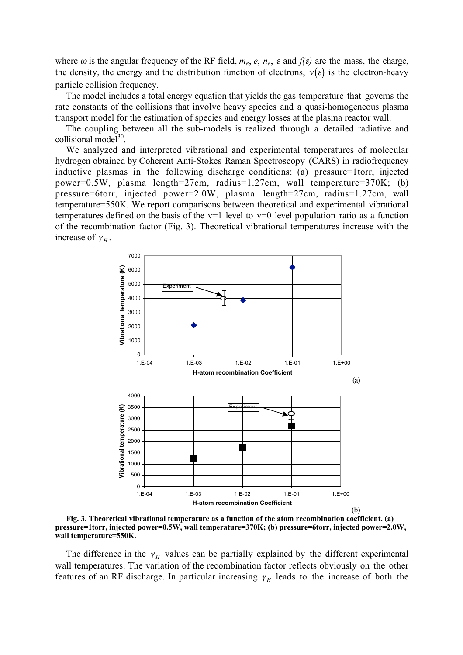where  $\omega$  is the angular frequency of the RF field,  $m_e$ ,  $e$ ,  $n_e$ ,  $\varepsilon$  and  $f(\varepsilon)$  are the mass, the charge, the density, the energy and the distribution function of electrons,  $v(\varepsilon)$  is the electron-heavy particle collision frequency.

transport model for the estimation of species and energy losses at the plasma reactor wall. The model includes a total energy equation that yields the gas temperature that governs the rate constants of the collisions that involve heavy species and a quasi-homogeneous plasma

The coupling between all the sub-models is realized through a detailed radiative and collisional model<sup>30</sup>.

We analyzed and interpreted vibrational and experimental temperatures of molecular hydrogen obtained by Coherent Anti-Stokes Raman Spectroscopy (CARS) in radiofrequency inductive plasmas in the following discharge conditions: (a) pressure=1torr, injected power=0.5W, plasma length=27cm, radius=1.27cm, wall temperature=370K; (b) pressure=6torr, injected power=2.0W, plasma length=27cm, radius=1.27cm, wall temperature=550K. We report comparisons between theoretical and experimental vibrational temperatures defined on the basis of the  $v=1$  level to  $v=0$  level population ratio as a function of the recombination factor (Fig. 3). Theoretical vibrational temperatures increase with the increase of  $\gamma_H$ .



Fig. 3. Theoretical vibrational temperature as a function of the atom recombination coefficient. (a) pressure=1torr, injected power=0.5W, wall temperature=370K; (b) pressure=6torr, injected power=2.0W, wall temperature=550K.

The difference in the  $\gamma_H$  values can be partially explained by the different experimental wall temperatures. The variation of the recombination factor reflects obviously on the other features of an RF discharge. In particular increasing  $\gamma_H$  leads to the increase of both the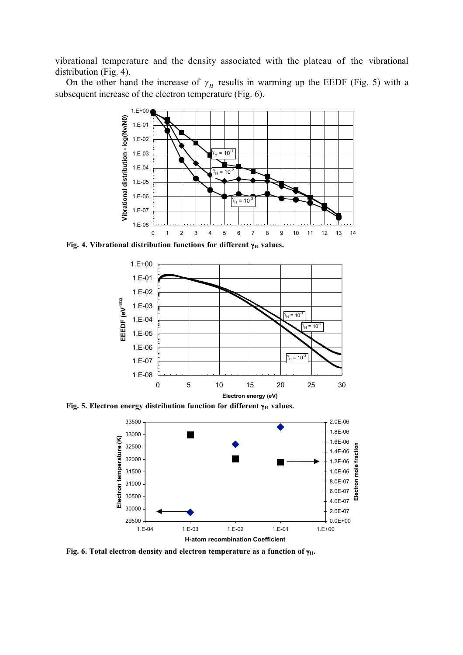vibrational temperature and the density associated with the plateau of the vibrational distribution (Fig. 4).

On the other hand the increase of  $\gamma_H$  results in warming up the EEDF (Fig. 5) with a subsequent increase of the electron temperature (Fig. 6).



Fig. 4. Vibrational distribution functions for different γ<sub>H</sub> values.



Fig. 5. Electron energy distribution function for different  $\gamma_H$  values.



Fig. 6. Total electron density and electron temperature as a function of  $\gamma_H$ .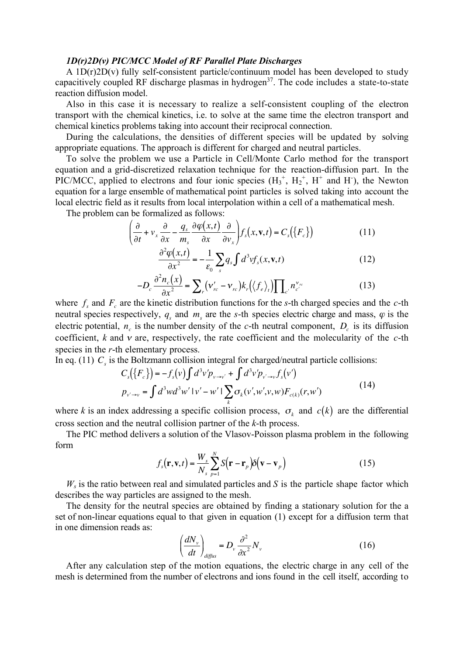#### *1D(r)2D(v) PIC/MCC Model of RF Parallel Plate Discharges*

A 1D(r)2D(v) fully self-consistent particle/continuum model has been developed to study capacitively coupled RF discharge plasmas in hydrogen<sup>37</sup>. The code includes a state-to-state reaction diffusion model.

Also in this case it is necessary to realize a self-consistent coupling of the electron transport with the chemical kinetics, i.e. to solve at the same time the electron transport and chemical kinetics problems taking into account their reciprocal connection.

During the calculations, the densities of different species will be updated by solving appropriate equations. The approach is different for charged and neutral particles.

To solve the problem we use a Particle in Cell/Monte Carlo method for the transport equation and a grid-discretized relaxation technique for the reaction-diffusion part. In the PIC/MCC, applied to electrons and four ionic species  $(H_3^+, H_2^+, H^+$  and H $)$ , the Newton equation for a large ensemble of mathematical point particles is solved taking into account the local electric field as it results from local interpolation within a cell of a mathematical mesh.

The problem can be formalized as follows:

$$
\left(\frac{\partial}{\partial t} + v_x \frac{\partial}{\partial x} - \frac{q_s}{m_s} \frac{\partial \varphi(x, t)}{\partial x} \frac{\partial}{\partial v_x}\right) f_s(x, \mathbf{v}, t) = C_s(\lbrace F_c \rbrace)
$$
(11)

$$
\frac{\partial^2 \varphi(x,t)}{\partial x^2} = -\frac{1}{\varepsilon_0} \sum_s q_s \int d^3 v f_s(x, \mathbf{v}, t)
$$
(12)

$$
-D_c \frac{\partial^2 n_c(x)}{\partial x^2} = \sum_r (\mathbf{v}_{rc}' - \mathbf{v}_{rc}) k_r (\langle f_e \rangle_t) \prod_{c'} n_{c'}^{\mathbf{v}_{rc}} \tag{13}
$$

meutral species respectively,  $q_s$  and  $m_s$  are the *s*-th species electric charge and mass,  $\varphi$  is the neutral species respectively,  $q_s$  and  $m_s$  are the *s*-th species electric charge and mass,  $\varphi$  is the  $\epsilon$  coefficient, *k* and *v* are, respectively, the rate coefficient and the molecularity of the *c*-th where  $f_s$  and  $F_c$  are the kinetic distribution functions for the *s*-th charged species and the *c*-th Econnective, *n* and *r* are, respectively, electric potential,  $n_c$  is the number density of the *c*-th neutral component,  $D_c$  is its diffusion

n intoorol In eq. (11)  $C_s$  is the Boltzmann collision integral for charged/neutral particle collisions:

$$
C_s({F_c}) = -f_s(v)\int d^3v'p_{v \to v'} + \int d^3v'p_{v' \to v}f_s(v')
$$
  
\n
$$
p_{v' \to v} = \int d^3wd^3w' |v' - w'| \sum_k \sigma_k(v', w', v, w)F_{c(k)}(r, w')
$$
\n(14)

where *k* is an index addressing a specific collision process,  $\sigma_k$  and  $c(k)$  are the differential cross section and the neutral collision partner of the *k*-th process.

 $\ddot{\phantom{0}}$ The PIC method delivers a solution of the Vlasov-Poisson plasma problem in the following form

$$
f_s(\mathbf{r}, \mathbf{v}, t) = \frac{W_s}{N_s} \sum_{p=1}^{N} S(\mathbf{r} - \mathbf{r}_p) \delta(\mathbf{v} - \mathbf{v}_p)
$$
(15)

 $W<sub>s</sub>$  is the ratio between real and simulated particles and *S* is the particle shape factor which describes the way particles are assigned to the mesh.

set of non-linear equations equal to that given in equation (1) except for a diffusion term that The density for the neutral species are obtained by finding a stationary solution for the a in one dimension reads as:

$$
\left(\frac{dN_{\nu}}{dt}\right)_{diffus} = D_{\nu} \frac{\partial^2}{\partial x^2} N_{\nu}
$$
\n(16)

After any calculation step of the motion equations, the electric charge in any cell of the mesh is determined from the number of electrons and ions found in the cell itself, according to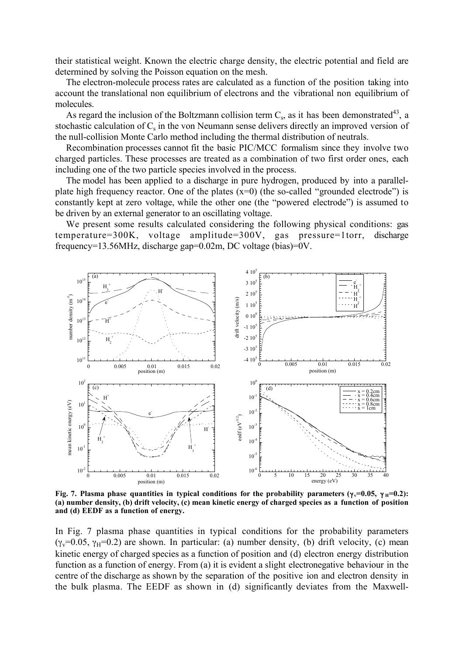their statistical weight. Known the electric charge density, the electric potential and field are determined by solving the Poisson equation on the mesh.

The electron-molecule process rates are calculated as a function of the position taking into account the translational non equilibrium of electrons and the vibrational non equilibrium of molecules.

As regard the inclusion of the Boltzmann collision term  $C_s$ , as it has been demonstrated<sup>43</sup>, a stochastic calculation of  $C_s$  in the von Neumann sense delivers directly an improved version of the null-collision Monte Carlo method including the thermal distribution of neutrals.

Recombination processes cannot fit the basic PIC/MCC formalism since they involve two charged particles. These processes are treated as a combination of two first order ones, each including one of the two particle species involved in the process.

The model has been applied to a discharge in pure hydrogen, produced by into a parallelplate high frequency reactor. One of the plates  $(x=0)$  (the so-called "grounded electrode") is constantly kept at zero voltage, while the other one (the "powered electrode") is assumed to be driven by an external generator to an oscillating voltage.

We present some results calculated considering the following physical conditions: gas temperature=300K, voltage amplitude=300V, gas pressure=1torr, discharge frequency=13.56MHz, discharge gap=0.02m, DC voltage (bias)=0V.



Fig. 7. Plasma phase quantities in typical conditions for the probability parameters (γ $\overline{v}$ =0.05, γ H=0.2): (a) number density, (b) drift velocity, (c) mean kinetic energy of charged species as a function of position and (d) EEDF as a function of energy.

In Fig. 7 plasma phase quantities in typical conditions for the probability parameters ( $\gamma_v$ =0.05,  $\gamma_H$ =0.2) are shown. In particular: (a) number density, (b) drift velocity, (c) mean kinetic energy of charged species as a function of position and (d) electron energy distribution function as a function of energy. From (a) it is evident a slight electronegative behaviour in the centre of the discharge as shown by the separation of the positive ion and electron density in the bulk plasma. The EEDF as shown in (d) significantly deviates from the Maxwell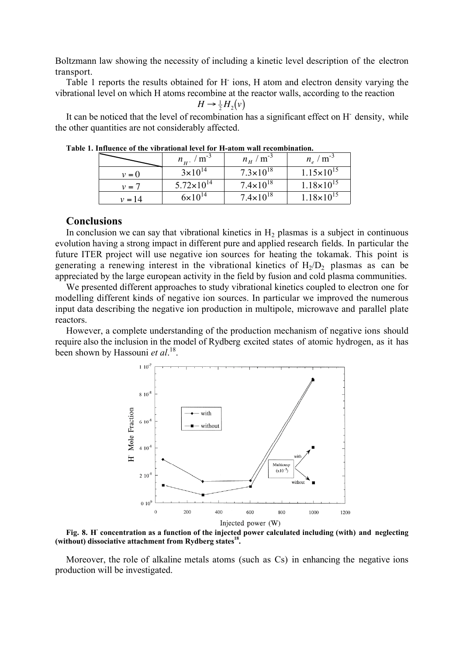Boltzmann law showing the necessity of including a kinetic level description of the electron transport.

Table 1 reports the results obtained for H- ions, H atom and electron density varying the vibrational level on which H atoms recombine at the reactor walls, according to the reaction

$$
H \to \frac{1}{2} H_2(v)
$$

It can be noticed that the level of recombination has a significant effect on H<sup>-</sup> density, while the other quantities are not considerably affected.

| THIRUMU VI UR VIDI AUVIIAI IUVU IVI TI-AUVIII WAII TUUMMUMIIIAUVII. |                                 |                               |                       |
|---------------------------------------------------------------------|---------------------------------|-------------------------------|-----------------------|
|                                                                     | $n_{\mu^{-}}$ / m <sup>-3</sup> | $n_{\rm H}$ / m <sup>-3</sup> | $n_e/m^{-3}$          |
| $v = 0$                                                             | $3 \times 10^{14}$              | $7.3 \times 10^{18}$          | $1.15 \times 10^{15}$ |
| $v = 7$                                                             | $5.72 \times 10^{14}$           | $7.4 \times 10^{18}$          | $1.18 \times 10^{15}$ |
| $v = 14$                                                            | $6 \times 10^{14}$              | $7.4 \times 10^{18}$          | $1.18 \times 10^{15}$ |

Table 1. Influence of the vibrational level for H-atom wall recombination.

#### $\overline{c}$ **Conclusions**

Euclidation we can say that violational kineties in  $H_2$  plasmas is a subject in continuous<br>evolution having a strong impact in different pure and applied research fields. In particular the In conclusion we can say that vibrational kinetics in  $H_2$  plasmas is a subject in continuous future ITER project will use negative ion sources for heating the tokamak. This point is generating a renewing interest in the vibrational kinetics of  $H_2/D_2$  plasmas as can be appreciated by the large european activity in the field by fusion and cold plasma communities.

We presented different approaches to study vibrational kinetics coupled to electron one for modelling different kinds of negative ion sources. In particular we improved the numerous input data describing the negative ion production in multipole, microwave and parallel plate reactors.

However, a complete understanding of the production mechanism of negative ions should require also the inclusion in the model of Rydberg excited states of atomic hydrogen, as it has been shown by Hassouni *et al*. 18.



Fig. 8. H concentration as a function of the injected power calculated including (with) and neglecting (without) dissociative attachment from Rydberg states<sup>18</sup>.

Moreover, the role of alkaline metals atoms (such as Cs) in enhancing the negative ions production will be investigated.